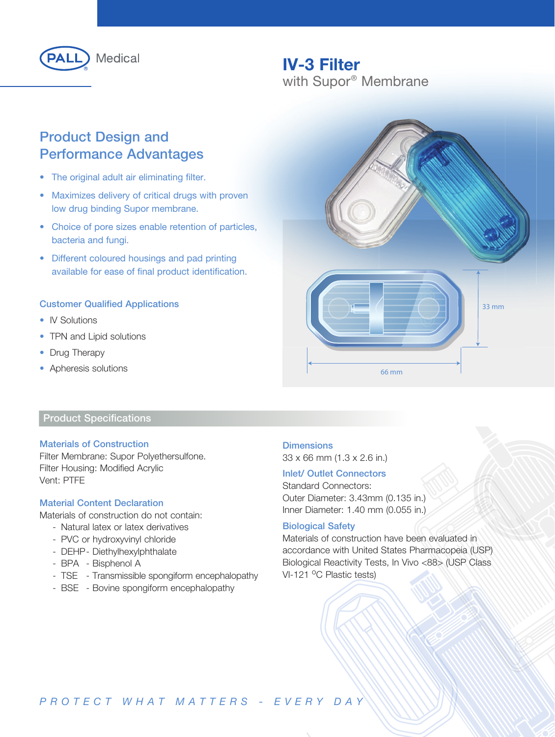

## IV-3 Filter with Supor® Membrane

## Product Design and Performance Advantages

- The original adult air eliminating filter.
- Maximizes delivery of critical drugs with proven low drug binding Supor membrane.
- Choice of pore sizes enable retention of particles, bacteria and fungi.
- Different coloured housings and pad printing available for ease of final product identification.

#### Customer Qualified Applications

- IV Solutions
- TPN and Lipid solutions
- Drug Therapy
- Apheresis solutions

## Product Specifications

#### Materials of Construction

Filter Membrane: Supor Polyethersulfone. Filter Housing: Modified Acrylic Vent: PTFE

#### Material Content Declaration

Materials of construction do not contain:

- Natural latex or latex derivatives
- PVC or hydroxyvinyl chloride
- DEHP Diethylhexylphthalate
- BPA Bisphenol A
- TSE Transmissible spongiform encephalopathy
- BSE Bovine spongiform encephalopathy



#### **Dimensions**

33 x 66 mm (1.3 x 2.6 in.)

#### Inlet/ Outlet Connectors

Standard Connectors: Outer Diameter: 3.43mm (0.135 in.) Inner Diameter: 1.40 mm (0.055 in.)

#### Biological Safety

Materials of construction have been evaluated in accordance with United States Pharmacopeia (USP) Biological Reactivity Tests, In Vivo <88> (USP Class VI-121 °C Plastic tests)

## *PROTECT WHAT MATTERS - EVERY DAY*